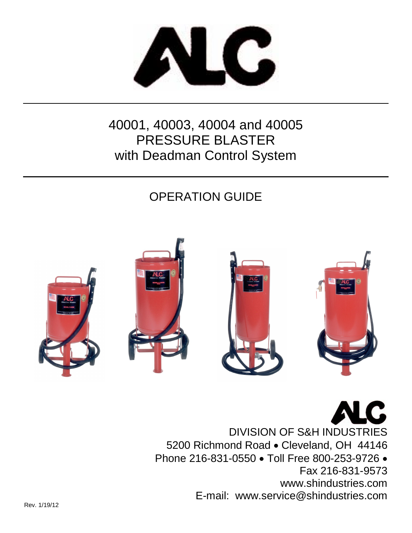

# 40001, 40003, 40004 and 40005 PRESSURE BLASTER with Deadman Control System

# OPERATION GUIDE



DIVISION OF S&H INDUSTRIES 5200 Richmond Road • Cleveland, OH 44146 Phone 216-831-0550 . Toll Free 800-253-9726 . Fax 216-831-9573 www.shindustries.com E-mail: www.service@shindustries.com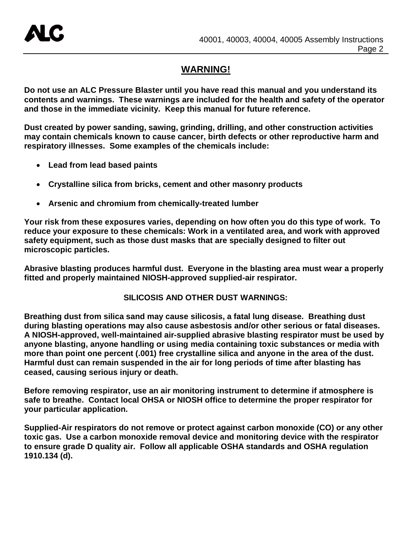# **WARNING!**

**Do not use an ALC Pressure Blaster until you have read this manual and you understand its contents and warnings. These warnings are included for the health and safety of the operator and those in the immediate vicinity. Keep this manual for future reference.** 

**Dust created by power sanding, sawing, grinding, drilling, and other construction activities may contain chemicals known to cause cancer, birth defects or other reproductive harm and respiratory illnesses. Some examples of the chemicals include:**

- **Lead from lead based paints**
- **Crystalline silica from bricks, cement and other masonry products**
- **Arsenic and chromium from chemically-treated lumber**

**Your risk from these exposures varies, depending on how often you do this type of work. To reduce your exposure to these chemicals: Work in a ventilated area, and work with approved safety equipment, such as those dust masks that are specially designed to filter out microscopic particles.**

**Abrasive blasting produces harmful dust. Everyone in the blasting area must wear a properly fitted and properly maintained NIOSH-approved supplied-air respirator.**

### **SILICOSIS AND OTHER DUST WARNINGS:**

**Breathing dust from silica sand may cause silicosis, a fatal lung disease. Breathing dust during blasting operations may also cause asbestosis and/or other serious or fatal diseases. A NIOSH-approved, well-maintained air-supplied abrasive blasting respirator must be used by anyone blasting, anyone handling or using media containing toxic substances or media with more than point one percent (.001) free crystalline silica and anyone in the area of the dust. Harmful dust can remain suspended in the air for long periods of time after blasting has ceased, causing serious injury or death.**

**Before removing respirator, use an air monitoring instrument to determine if atmosphere is safe to breathe. Contact local OHSA or NIOSH office to determine the proper respirator for your particular application.**

**Supplied-Air respirators do not remove or protect against carbon monoxide (CO) or any other toxic gas. Use a carbon monoxide removal device and monitoring device with the respirator to ensure grade D quality air. Follow all applicable OSHA standards and OSHA regulation 1910.134 (d).**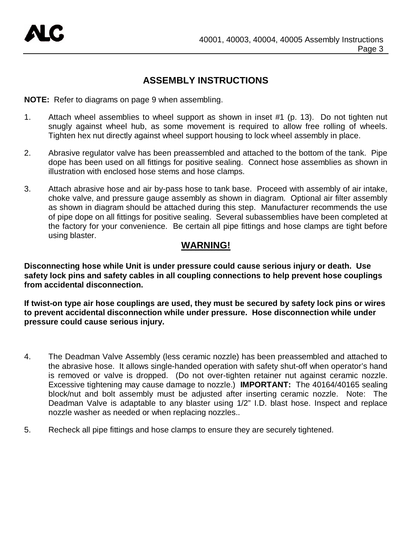# **ASSEMBLY INSTRUCTIONS**

**NOTE:** Refer to diagrams on page 9 when assembling.

- 1. Attach wheel assemblies to wheel support as shown in inset #1 (p. 13). Do not tighten nut snugly against wheel hub, as some movement is required to allow free rolling of wheels. Tighten hex nut directly against wheel support housing to lock wheel assembly in place.
- 2. Abrasive regulator valve has been preassembled and attached to the bottom of the tank. Pipe dope has been used on all fittings for positive sealing. Connect hose assemblies as shown in illustration with enclosed hose stems and hose clamps.
- 3. Attach abrasive hose and air by-pass hose to tank base. Proceed with assembly of air intake, choke valve, and pressure gauge assembly as shown in diagram. Optional air filter assembly as shown in diagram should be attached during this step. Manufacturer recommends the use of pipe dope on all fittings for positive sealing. Several subassemblies have been completed at the factory for your convenience. Be certain all pipe fittings and hose clamps are tight before using blaster.

# **WARNING!**

**Disconnecting hose while Unit is under pressure could cause serious injury or death. Use safety lock pins and safety cables in all coupling connections to help prevent hose couplings from accidental disconnection.**

**If twist-on type air hose couplings are used, they must be secured by safety lock pins or wires to prevent accidental disconnection while under pressure. Hose disconnection while under pressure could cause serious injury.**

- 4. The Deadman Valve Assembly (less ceramic nozzle) has been preassembled and attached to the abrasive hose. It allows single-handed operation with safety shut-off when operator's hand is removed or valve is dropped. (Do not over-tighten retainer nut against ceramic nozzle. Excessive tightening may cause damage to nozzle.) **IMPORTANT:** The 40164/40165 sealing block/nut and bolt assembly must be adjusted after inserting ceramic nozzle. Note: The Deadman Valve is adaptable to any blaster using 1/2" I.D. blast hose. Inspect and replace nozzle washer as needed or when replacing nozzles..
- 5. Recheck all pipe fittings and hose clamps to ensure they are securely tightened.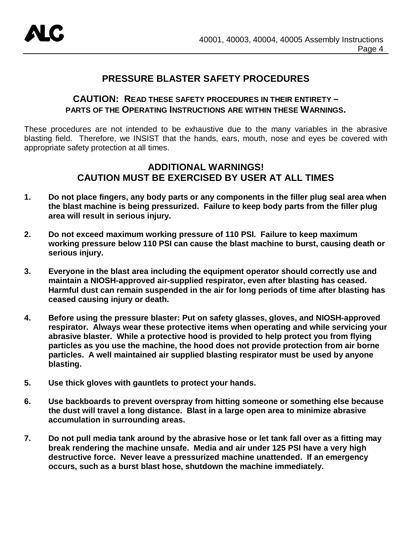

# **PRESSURE BLASTER SAFETY PROCEDURES**

### **CAUTION: READ THESE SAFETY PROCEDURES IN THEIR ENTIRETY – PARTS OF THE OPERATING INSTRUCTIONS ARE WITHIN THESE WARNINGS.**

These procedures are not intended to be exhaustive due to the many variables in the abrasive blasting field. Therefore, we INSIST that the hands, ears, mouth, nose and eyes be covered with appropriate safety protection at all times.

# **ADDITIONAL WARNINGS! CAUTION MUST BE EXERCISED BY USER AT ALL TIMES**

- **1. Do not place fingers, any body parts or any components in the filler plug seal area when the blast machine is being pressurized. Failure to keep body parts from the filler plug area will result in serious injury.**
- **2. Do not exceed maximum working pressure of 110 PSI. Failure to keep maximum working pressure below 110 PSI can cause the blast machine to burst, causing death or serious injury.**
- **3. Everyone in the blast area including the equipment operator should correctly use and maintain a NIOSH-approved air-supplied respirator, even after blasting has ceased. Harmful dust can remain suspended in the air for long periods of time after blasting has ceased causing injury or death.**
- **4. Before using the pressure blaster: Put on safety glasses, gloves, and NIOSH-approved respirator. Always wear these protective items when operating and while servicing your abrasive blaster. While a protective hood is provided to help protect you from flying particles as you use the machine, the hood does not provide protection from air borne particles. A well maintained air supplied blasting respirator must be used by anyone blasting.**
- **5. Use thick gloves with gauntlets to protect your hands.**
- **6. Use backboards to prevent overspray from hitting someone or something else because the dust will travel a long distance. Blast in a large open area to minimize abrasive accumulation in surrounding areas.**
- **7. Do not pull media tank around by the abrasive hose or let tank fall over as a fitting may break rendering the machine unsafe. Media and air under 125 PSI have a very high destructive force. Never leave a pressurized machine unattended. If an emergency occurs, such as a burst blast hose, shutdown the machine immediately.**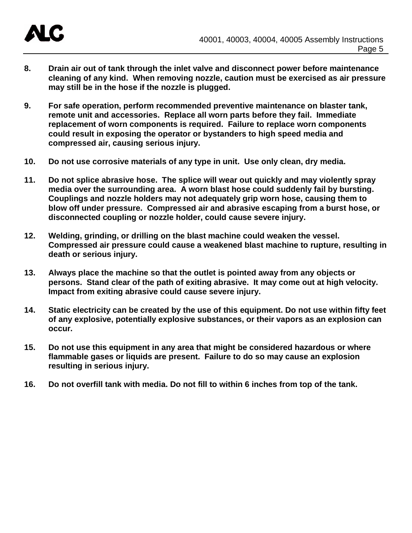

- **8. Drain air out of tank through the inlet valve and disconnect power before maintenance cleaning of any kind. When removing nozzle, caution must be exercised as air pressure may still be in the hose if the nozzle is plugged.**
- **9. For safe operation, perform recommended preventive maintenance on blaster tank, remote unit and accessories. Replace all worn parts before they fail. Immediate replacement of worn components is required. Failure to replace worn components could result in exposing the operator or bystanders to high speed media and compressed air, causing serious injury.**
- **10. Do not use corrosive materials of any type in unit. Use only clean, dry media.**
- **11. Do not splice abrasive hose. The splice will wear out quickly and may violently spray media over the surrounding area. A worn blast hose could suddenly fail by bursting. Couplings and nozzle holders may not adequately grip worn hose, causing them to blow off under pressure. Compressed air and abrasive escaping from a burst hose, or disconnected coupling or nozzle holder, could cause severe injury.**
- **12. Welding, grinding, or drilling on the blast machine could weaken the vessel. Compressed air pressure could cause a weakened blast machine to rupture, resulting in death or serious injury.**
- **13. Always place the machine so that the outlet is pointed away from any objects or persons. Stand clear of the path of exiting abrasive. It may come out at high velocity. Impact from exiting abrasive could cause severe injury.**
- **14. Static electricity can be created by the use of this equipment. Do not use within fifty feet of any explosive, potentially explosive substances, or their vapors as an explosion can occur.**
- **15. Do not use this equipment in any area that might be considered hazardous or where flammable gases or liquids are present. Failure to do so may cause an explosion resulting in serious injury.**
- **16. Do not overfill tank with media. Do not fill to within 6 inches from top of the tank.**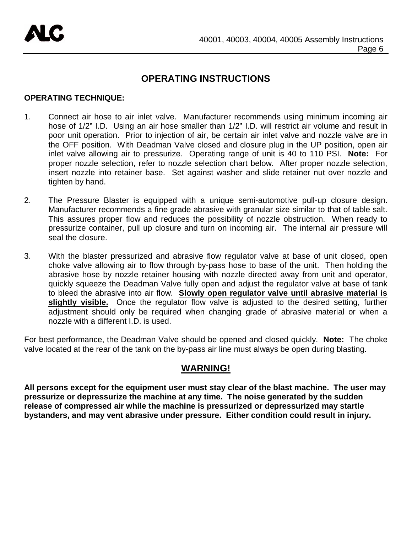# **OPERATING INSTRUCTIONS**

#### **OPERATING TECHNIQUE:**

- 1. Connect air hose to air inlet valve. Manufacturer recommends using minimum incoming air hose of 1/2" I.D. Using an air hose smaller than 1/2" I.D. will restrict air volume and result in poor unit operation. Prior to injection of air, be certain air inlet valve and nozzle valve are in the OFF position. With Deadman Valve closed and closure plug in the UP position, open air inlet valve allowing air to pressurize. Operating range of unit is 40 to 110 PSI. **Note:** For proper nozzle selection, refer to nozzle selection chart below. After proper nozzle selection, insert nozzle into retainer base. Set against washer and slide retainer nut over nozzle and tighten by hand.
- 2. The Pressure Blaster is equipped with a unique semi-automotive pull-up closure design. Manufacturer recommends a fine grade abrasive with granular size similar to that of table salt. This assures proper flow and reduces the possibility of nozzle obstruction. When ready to pressurize container, pull up closure and turn on incoming air. The internal air pressure will seal the closure.
- 3. With the blaster pressurized and abrasive flow regulator valve at base of unit closed, open choke valve allowing air to flow through by-pass hose to base of the unit. Then holding the abrasive hose by nozzle retainer housing with nozzle directed away from unit and operator, quickly squeeze the Deadman Valve fully open and adjust the regulator valve at base of tank to bleed the abrasive into air flow. **Slowly open regulator valve until abrasive material is**  slightly visible. Once the regulator flow valve is adjusted to the desired setting, further adjustment should only be required when changing grade of abrasive material or when a nozzle with a different I.D. is used.

For best performance, the Deadman Valve should be opened and closed quickly. **Note:** The choke valve located at the rear of the tank on the by-pass air line must always be open during blasting.

# **WARNING!**

**All persons except for the equipment user must stay clear of the blast machine. The user may pressurize or depressurize the machine at any time. The noise generated by the sudden release of compressed air while the machine is pressurized or depressurized may startle bystanders, and may vent abrasive under pressure. Either condition could result in injury.**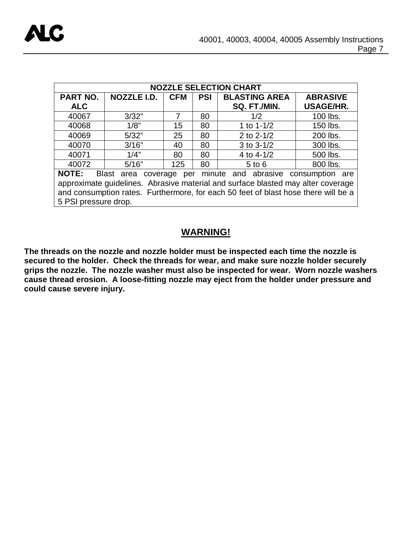| <b>NOZZLE SELECTION CHART</b>                                                      |             |            |            |                      |                  |  |  |  |
|------------------------------------------------------------------------------------|-------------|------------|------------|----------------------|------------------|--|--|--|
| PART NO.                                                                           | NOZZLE I.D. | <b>CFM</b> | <b>PSI</b> | <b>BLASTING AREA</b> | <b>ABRASIVE</b>  |  |  |  |
| <b>ALC</b>                                                                         |             |            |            | SQ. FT./MIN.         | <b>USAGE/HR.</b> |  |  |  |
| 40067                                                                              | 3/32"       | 7          | 80         | 1/2                  | 100 lbs.         |  |  |  |
| 40068                                                                              | 1/8"        | 15         | 80         | 1 to $1 - 1/2$       | 150 lbs.         |  |  |  |
| 40069                                                                              | 5/32"       | 25         | 80         | 2 to 2-1/2           | 200 lbs.         |  |  |  |
| 40070                                                                              | 3/16"       | 40         | 80         | $3$ to $3-1/2$       | 300 lbs.         |  |  |  |
| 40071                                                                              | 1/4"        | 80         | 80         | 4 to $4 - 1/2$       | 500 lbs.         |  |  |  |
| 40072                                                                              | 5/16"       | 125        | 80         | $5$ to $6$           | 800 lbs.         |  |  |  |
| Blast area coverage per minute and abrasive consumption are<br><b>NOTE:</b>        |             |            |            |                      |                  |  |  |  |
| approximate guidelines. Abrasive material and surface blasted may alter coverage   |             |            |            |                      |                  |  |  |  |
| and consumption rates. Furthermore, for each 50 feet of blast hose there will be a |             |            |            |                      |                  |  |  |  |
| 5 PSI pressure drop.                                                               |             |            |            |                      |                  |  |  |  |

# **WARNING!**

**The threads on the nozzle and nozzle holder must be inspected each time the nozzle is secured to the holder. Check the threads for wear, and make sure nozzle holder securely grips the nozzle. The nozzle washer must also be inspected for wear. Worn nozzle washers cause thread erosion. A loose-fitting nozzle may eject from the holder under pressure and could cause severe injury.**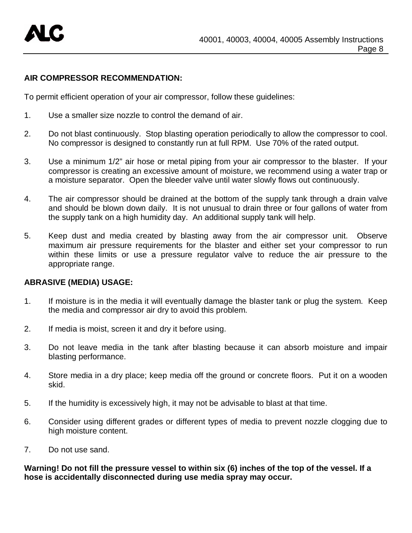

#### **AIR COMPRESSOR RECOMMENDATION:**

To permit efficient operation of your air compressor, follow these guidelines:

- 1. Use a smaller size nozzle to control the demand of air.
- 2. Do not blast continuously. Stop blasting operation periodically to allow the compressor to cool. No compressor is designed to constantly run at full RPM. Use 70% of the rated output.
- 3. Use a minimum 1/2" air hose or metal piping from your air compressor to the blaster. If your compressor is creating an excessive amount of moisture, we recommend using a water trap or a moisture separator. Open the bleeder valve until water slowly flows out continuously.
- 4. The air compressor should be drained at the bottom of the supply tank through a drain valve and should be blown down daily. It is not unusual to drain three or four gallons of water from the supply tank on a high humidity day. An additional supply tank will help.
- 5. Keep dust and media created by blasting away from the air compressor unit. Observe maximum air pressure requirements for the blaster and either set your compressor to run within these limits or use a pressure regulator valve to reduce the air pressure to the appropriate range.

#### **ABRASIVE (MEDIA) USAGE:**

- 1. If moisture is in the media it will eventually damage the blaster tank or plug the system. Keep the media and compressor air dry to avoid this problem.
- 2. If media is moist, screen it and dry it before using.
- 3. Do not leave media in the tank after blasting because it can absorb moisture and impair blasting performance.
- 4. Store media in a dry place; keep media off the ground or concrete floors. Put it on a wooden skid.
- 5. If the humidity is excessively high, it may not be advisable to blast at that time.
- 6. Consider using different grades or different types of media to prevent nozzle clogging due to high moisture content.
- 7. Do not use sand.

**Warning! Do not fill the pressure vessel to within six (6) inches of the top of the vessel. If a hose is accidentally disconnected during use media spray may occur.**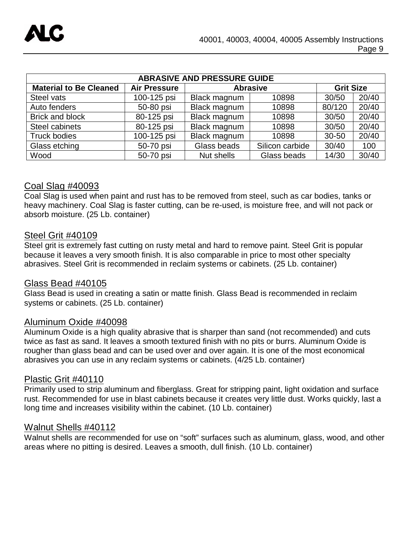| <b>ABRASIVE AND PRESSURE GUIDE</b> |                     |                 |                 |                  |       |  |  |  |  |
|------------------------------------|---------------------|-----------------|-----------------|------------------|-------|--|--|--|--|
| <b>Material to Be Cleaned</b>      | <b>Air Pressure</b> | <b>Abrasive</b> |                 | <b>Grit Size</b> |       |  |  |  |  |
| Steel vats                         | 100-125 psi         | Black magnum    | 10898           | 30/50            | 20/40 |  |  |  |  |
| Auto fenders                       | 50-80 psi           | Black magnum    | 10898           | 80/120           | 20/40 |  |  |  |  |
| <b>Brick and block</b>             | 80-125 psi          | Black magnum    | 10898           | 30/50            | 20/40 |  |  |  |  |
| Steel cabinets                     | 80-125 psi          | Black magnum    | 10898           | 30/50            | 20/40 |  |  |  |  |
| <b>Truck bodies</b>                | 100-125 psi         | Black magnum    | 10898           | $30 - 50$        | 20/40 |  |  |  |  |
| Glass etching                      | 50-70 psi           | Glass beads     | Silicon carbide | 30/40            | 100   |  |  |  |  |
| Wood<br>50-70 psi                  |                     | Nut shells      | Glass beads     | 14/30            | 30/40 |  |  |  |  |

### Coal Slag #40093

Coal Slag is used when paint and rust has to be removed from steel, such as car bodies, tanks or heavy machinery. Coal Slag is faster cutting, can be re-used, is moisture free, and will not pack or absorb moisture. (25 Lb. container)

### Steel Grit #40109

Steel grit is extremely fast cutting on rusty metal and hard to remove paint. Steel Grit is popular because it leaves a very smooth finish. It is also comparable in price to most other specialty abrasives. Steel Grit is recommended in reclaim systems or cabinets. (25 Lb. container)

### Glass Bead #40105

Glass Bead is used in creating a satin or matte finish. Glass Bead is recommended in reclaim systems or cabinets. (25 Lb. container)

#### Aluminum Oxide #40098

Aluminum Oxide is a high quality abrasive that is sharper than sand (not recommended) and cuts twice as fast as sand. It leaves a smooth textured finish with no pits or burrs. Aluminum Oxide is rougher than glass bead and can be used over and over again. It is one of the most economical abrasives you can use in any reclaim systems or cabinets. (4/25 Lb. container)

#### Plastic Grit #40110

Primarily used to strip aluminum and fiberglass. Great for stripping paint, light oxidation and surface rust. Recommended for use in blast cabinets because it creates very little dust. Works quickly, last a long time and increases visibility within the cabinet. (10 Lb. container)

#### Walnut Shells #40112

Walnut shells are recommended for use on "soft" surfaces such as aluminum, glass, wood, and other areas where no pitting is desired. Leaves a smooth, dull finish. (10 Lb. container)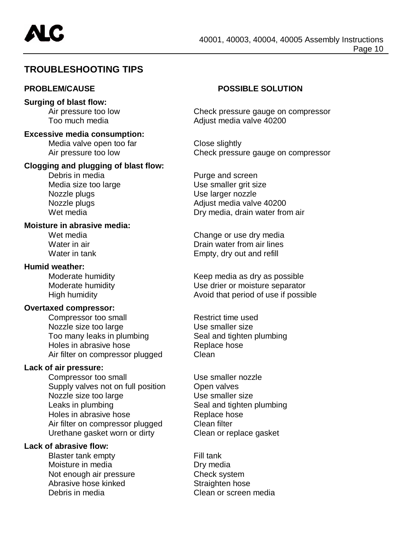# **TROUBLESHOOTING TIPS**

#### **Surging of blast flow:**

**Excessive media consumption:**

Media valve open too far<br>
Air pressure too low by Check pressure

#### **Clogging and plugging of blast flow:**

Debris in media **Purge and screen** Nozzle plugs and the Use larger nozzle

#### **Moisture in abrasive media:**

#### **Humid weather:**

#### **Overtaxed compressor:**

Compressor too small Restrict time used Nozzle size too large Use smaller size<br>
Too many leaks in plumbing Seal and tighten plumbing Too many leaks in plumbing Holes in abrasive hose **Replace hose** Air filter on compressor plugged Clean

#### **Lack of air pressure:**

Compressor too small Use smaller nozzle Supply valves not on full position Open valves Nozzle size too large Use smaller size Leaks in plumbing Leaks in plumbing Holes in abrasive hose **Replace hose** Air filter on compressor plugged Clean filter Urethane gasket worn or dirty Clean or replace gasket

#### **Lack of abrasive flow:**

Blaster tank empty Fill tank Moisture in media Dry media Not enough air pressure Check system Abrasive hose kinked Straighten hose Debris in media Clean or screen media

### **PROBLEM/CAUSE POSSIBLE SOLUTION**

Air pressure too low Check pressure gauge on compressor<br>
Too much media<br>
Check pressure gauge on compressor<br>
Adiust media valve 40200 Adjust media valve 40200

Check pressure gauge on compressor

Media size too large Use smaller grit size Nozzle plugs **Adjust media valve 40200** Wet media **Dry media, drain water from air** 

Wet media Change or use dry media Water in air **Drain water from air lines** Water in tank **Empty**, dry out and refill

Moderate humidity Keep media as dry as possible Moderate humidity Use drier or moisture separator High humidity **Avoid that period of use if possible**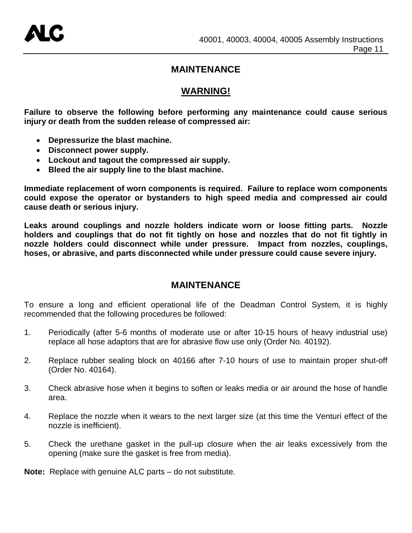# **MAINTENANCE**

# **WARNING!**

**Failure to observe the following before performing any maintenance could cause serious injury or death from the sudden release of compressed air:**

- **Depressurize the blast machine.**
- **Disconnect power supply.**
- **Lockout and tagout the compressed air supply.**
- **Bleed the air supply line to the blast machine.**

**Immediate replacement of worn components is required. Failure to replace worn components could expose the operator or bystanders to high speed media and compressed air could cause death or serious injury.**

**Leaks around couplings and nozzle holders indicate worn or loose fitting parts. Nozzle holders and couplings that do not fit tightly on hose and nozzles that do not fit tightly in nozzle holders could disconnect while under pressure. Impact from nozzles, couplings, hoses, or abrasive, and parts disconnected while under pressure could cause severe injury.**

# **MAINTENANCE**

To ensure a long and efficient operational life of the Deadman Control System, it is highly recommended that the following procedures be followed:

- 1. Periodically (after 5-6 months of moderate use or after 10-15 hours of heavy industrial use) replace all hose adaptors that are for abrasive flow use only (Order No. 40192).
- 2. Replace rubber sealing block on 40166 after 7-10 hours of use to maintain proper shut-off (Order No. 40164).
- 3. Check abrasive hose when it begins to soften or leaks media or air around the hose of handle area.
- 4. Replace the nozzle when it wears to the next larger size (at this time the Venturi effect of the nozzle is inefficient).
- 5. Check the urethane gasket in the pull-up closure when the air leaks excessively from the opening (make sure the gasket is free from media).

**Note:** Replace with genuine ALC parts – do not substitute.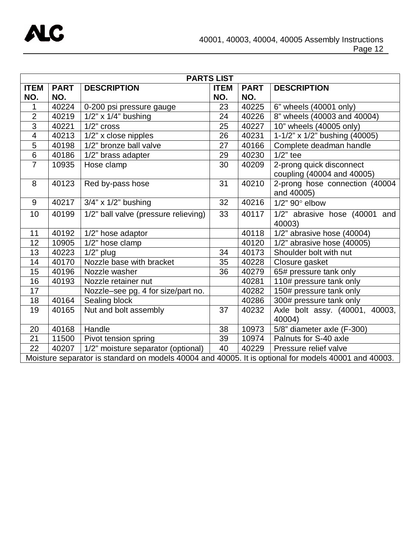

| <b>PARTS LIST</b>                                                                                    |             |                                      |             |             |                                        |  |
|------------------------------------------------------------------------------------------------------|-------------|--------------------------------------|-------------|-------------|----------------------------------------|--|
| <b>ITEM</b>                                                                                          | <b>PART</b> | <b>DESCRIPTION</b>                   | <b>ITEM</b> | <b>PART</b> | <b>DESCRIPTION</b>                     |  |
| NO.                                                                                                  | NO.         |                                      | NO.         | NO.         |                                        |  |
| 1                                                                                                    | 40224       | 0-200 psi pressure gauge             | 23          | 40225       | 6" wheels (40001 only)                 |  |
| $\overline{2}$                                                                                       | 40219       | $1/2$ " x $1/4$ " bushing            | 24          | 40226       | 8" wheels (40003 and 40004)            |  |
| $\overline{3}$                                                                                       | 40221       | $1/2$ " cross                        | 25          | 40227       | 10" wheels (40005 only)                |  |
| $\overline{4}$                                                                                       | 40213       | 1/2" x close nipples                 | 26          | 40231       | 1-1/2" x 1/2" bushing (40005)          |  |
| 5                                                                                                    | 40198       | 1/2" bronze ball valve               | 27          | 40166       | Complete deadman handle                |  |
| 6                                                                                                    | 40186       | 1/2" brass adapter                   | 29          | 40230       | $1/2$ " tee                            |  |
| $\overline{7}$                                                                                       | 10935       | Hose clamp                           | 30          | 40209       | 2-prong quick disconnect               |  |
|                                                                                                      |             |                                      |             |             | coupling (40004 and 40005)             |  |
| 8                                                                                                    | 40123       | Red by-pass hose                     | 31          | 40210       | 2-prong hose connection (40004         |  |
|                                                                                                      |             |                                      |             |             | and 40005)                             |  |
| 9                                                                                                    | 40217       | $3/4$ " x $1/2$ " bushing            | 32          | 40216       | $1/2$ " 90 $^{\circ}$ elbow            |  |
| 10                                                                                                   | 40199       | 1/2" ball valve (pressure relieving) | 33          | 40117       | 1/2" abrasive hose (40001 and          |  |
|                                                                                                      |             |                                      |             |             | 40003)                                 |  |
| 11                                                                                                   | 40192       | 1/2" hose adaptor                    |             | 40118       | $\overline{1/2}$ abrasive hose (40004) |  |
| 12                                                                                                   | 10905       | 1/2" hose clamp                      |             | 40120       | $1/2$ " abrasive hose (40005)          |  |
| 13                                                                                                   | 40223       | $1/2$ " plug                         | 34          | 40173       | Shoulder bolt with nut                 |  |
| 14                                                                                                   | 40170       | Nozzle base with bracket             | 35          | 40228       | Closure gasket                         |  |
| 15                                                                                                   | 40196       | Nozzle washer                        | 36          | 40279       | 65# pressure tank only                 |  |
| 16                                                                                                   | 40193       | Nozzle retainer nut                  |             | 40281       | 110# pressure tank only                |  |
| 17                                                                                                   |             | Nozzle-see pg. 4 for size/part no.   |             | 40282       | 150# pressure tank only                |  |
| 18                                                                                                   | 40164       | Sealing block                        |             | 40286       | 300# pressure tank only                |  |
| 19                                                                                                   | 40165       | Nut and bolt assembly                | 37          | 40232       | Axle bolt assy. (40001, 40003,         |  |
|                                                                                                      |             |                                      |             |             | 40004)                                 |  |
| 20                                                                                                   | 40168       | Handle                               | 38          | 10973       | 5/8" diameter axle (F-300)             |  |
| 21                                                                                                   | 11500       | Pivot tension spring                 | 39          | 10974       | Palnuts for S-40 axle                  |  |
| 22                                                                                                   | 40207       | 1/2" moisture separator (optional)   | 40          | 40229       | Pressure relief valve                  |  |
| Moisture separator is standard on models 40004 and 40005. It is optional for models 40001 and 40003. |             |                                      |             |             |                                        |  |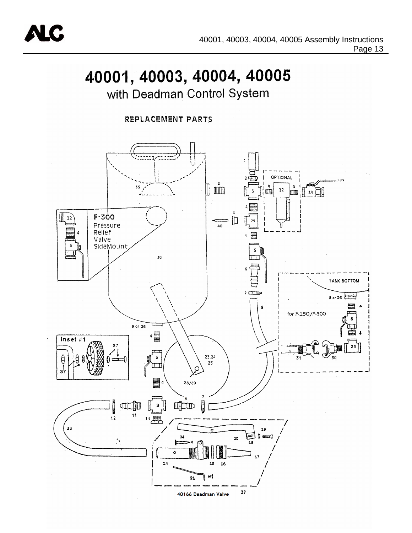

# 40001, 40003, 40004, 40005

with Deadman Control System

REPLACEMENT PARTS